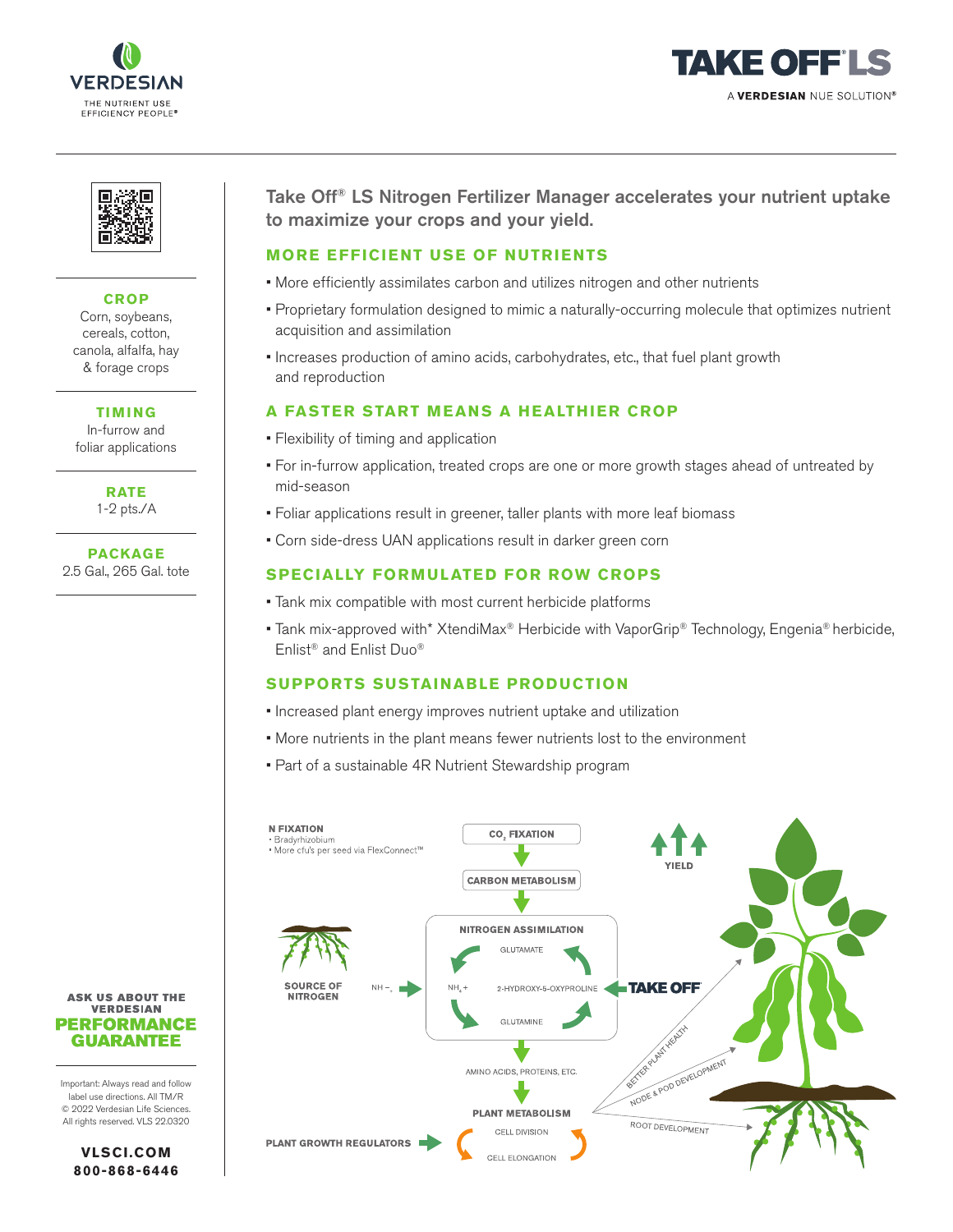





# **CROP**

Corn, soybeans, cereals, cotton, canola, alfalfa, hay & forage crops

**TIMING** In-furrow and foliar applications

**RATE**

1-2 pts./A

**PACKAGE** 2.5 Gal., 265 Gal. tote Take Off® LS Nitrogen Fertilizer Manager accelerates your nutrient uptake to maximize your crops and your yield.

### **MORE EFFICIENT USE OF NUTRIENTS**

- More efficiently assimilates carbon and utilizes nitrogen and other nutrients
- Proprietary formulation designed to mimic a naturally-occurring molecule that optimizes nutrient acquisition and assimilation
- Increases production of amino acids, carbohydrates, etc., that fuel plant growth and reproduction

# **A FASTER START MEANS A HEALTHIER CROP**

- Flexibility of timing and application
- For in-furrow application, treated crops are one or more growth stages ahead of untreated by mid-season
- Foliar applications result in greener, taller plants with more leaf biomass
- Corn side-dress UAN applications result in darker green corn

## **SPECIALLY FORMULATED FOR ROW CROPS**

- Tank mix compatible with most current herbicide platforms
- Tank mix-approved with\* XtendiMax® Herbicide with VaporGrip® Technology, Engenia® herbicide, Enlist® and Enlist Duo®

## **SUPPORTS SUSTAINABLE PRODUCTION**

- Increased plant energy improves nutrient uptake and utilization
- More nutrients in the plant means fewer nutrients lost to the environment
- Part of a sustainable 4R Nutrient Stewardship program



**ASK US ABOUT THE VERDESIAN PERFORMANCE GUARANTEE** 

Important: Always read and follow label use directions. All TM/R © 2022 Verdesian Life Sciences. All rights reserved. VLS 22.0320

**VLSCI.COM 800-868-6446**